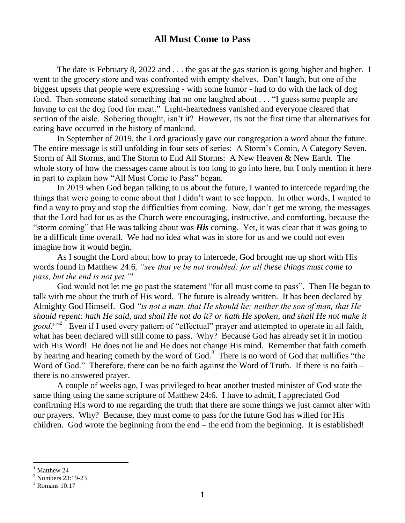## **All Must Come to Pass**

The date is February 8, 2022 and . . . the gas at the gas station is going higher and higher. I went to the grocery store and was confronted with empty shelves. Don't laugh, but one of the biggest upsets that people were expressing - with some humor - had to do with the lack of dog food. Then someone stated something that no one laughed about . . . "I guess some people are having to eat the dog food for meat." Light-heartedness vanished and everyone cleared that section of the aisle. Sobering thought, isn't it? However, its not the first time that alternatives for eating have occurred in the history of mankind.

In September of 2019, the Lord graciously gave our congregation a word about the future. The entire message is still unfolding in four sets of series: A Storm's Comin, A Category Seven, Storm of All Storms, and The Storm to End All Storms: A New Heaven & New Earth. The whole story of how the messages came about is too long to go into here, but I only mention it here in part to explain how "All Must Come to Pass" began.

In 2019 when God began talking to us about the future, I wanted to intercede regarding the things that were going to come about that I didn't want to see happen. In other words, I wanted to find a way to pray and stop the difficulties from coming. Now, don't get me wrong, the messages that the Lord had for us as the Church were encouraging, instructive, and comforting, because the "storm coming" that He was talking about was *His* coming. Yet, it was clear that it was going to be a difficult time overall. We had no idea what was in store for us and we could not even imagine how it would begin.

As I sought the Lord about how to pray to intercede, God brought me up short with His words found in Matthew 24:6*, "see that ye be not troubled: for all these things must come to pass, but the end is not yet."<sup>1</sup>*

God would not let me go past the statement "for all must come to pass". Then He began to talk with me about the truth of His word. The future is already written. It has been declared by Almighty God Himself. God *"is not a man, that He should lie; neither the son of man, that He should repent: hath He said, and shall He not do it? or hath He spoken, and shall He not make it*  good?"<sup>2</sup> Even if I used every pattern of "effectual" prayer and attempted to operate in all faith, what has been declared will still come to pass. Why? Because God has already set it in motion with His Word! He does not lie and He does not change His mind. Remember that faith cometh by hearing and hearing cometh by the word of God.<sup>3</sup> There is no word of God that nullifies "the Word of God." Therefore, there can be no faith against the Word of Truth. If there is no faith – there is no answered prayer.

A couple of weeks ago, I was privileged to hear another trusted minister of God state the same thing using the same scripture of Matthew 24:6. I have to admit, I appreciated God confirming His word to me regarding the truth that there are some things we just cannot alter with our prayers. Why? Because, they must come to pass for the future God has willed for His children. God wrote the beginning from the end – the end from the beginning. It is established!

Matthew 24

<sup>2</sup> Numbers 23:19-23

 $3$  Romans 10:17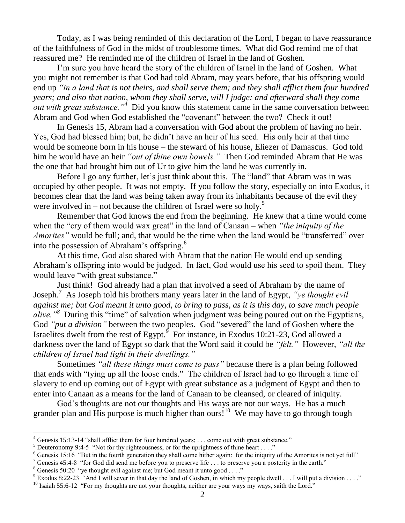Today, as I was being reminded of this declaration of the Lord, I began to have reassurance of the faithfulness of God in the midst of troublesome times. What did God remind me of that reassured me? He reminded me of the children of Israel in the land of Goshen.

I'm sure you have heard the story of the children of Israel in the land of Goshen. What you might not remember is that God had told Abram, may years before, that his offspring would end up *"in a land that is not theirs, and shall serve them; and they shall afflict them four hundred years; and also that nation, whom they shall serve, will I judge: and afterward shall they come out with great substance."<sup>4</sup>* Did you know this statement came in the same conversation between Abram and God when God established the "covenant" between the two? Check it out!

In Genesis 15, Abram had a conversation with God about the problem of having no heir. Yes, God had blessed him; but, he didn't have an heir of his seed. His only heir at that time would be someone born in his house – the steward of his house, Eliezer of Damascus. God told him he would have an heir *"out of thine own bowels."* Then God reminded Abram that He was the one that had brought him out of Ur to give him the land he was currently in.

Before I go any further, let's just think about this. The "land" that Abram was in was occupied by other people. It was not empty. If you follow the story, especially on into Exodus, it becomes clear that the land was being taken away from its inhabitants because of the evil they were involved in – not because the children of Israel were so holy.<sup>5</sup>

Remember that God knows the end from the beginning. He knew that a time would come when the "cry of them would wax great" in the land of Canaan – when *"the iniquity of the Amorites"* would be full; and, that would be the time when the land would be "transferred" over into the possession of Abraham's offspring. $6$ 

At this time, God also shared with Abram that the nation He would end up sending Abraham's offspring into would be judged. In fact, God would use his seed to spoil them. They would leave "with great substance."

Just think! God already had a plan that involved a seed of Abraham by the name of Joseph.<sup>7</sup> As Joseph told his brothers many years later in the land of Egypt, *"ye thought evil against me; but God meant it unto good, to bring to pass, as it is this day, to save much people alive."<sup>8</sup>* During this "time" of salvation when judgment was being poured out on the Egyptians, God *"put a division"* between the two peoples. God "severed" the land of Goshen where the Israelites dwelt from the rest of Egypt.<sup> $\int$ </sup> For instance, in Exodus 10:21-23, God allowed a darkness over the land of Egypt so dark that the Word said it could be *"felt."* However, *"all the children of Israel had light in their dwellings."*

Sometimes *"all these things must come to pass"* because there is a plan being followed that ends with "tying up all the loose ends." The children of Israel had to go through a time of slavery to end up coming out of Egypt with great substance as a judgment of Egypt and then to enter into Canaan as a means for the land of Canaan to be cleansed, or cleared of iniquity.

God's thoughts are not our thoughts and His ways are not our ways. He has a much grander plan and His purpose is much higher than ours!<sup>10</sup> We may have to go through tough

<sup>7</sup> Genesis 45:4-8 "for God did send me before you to preserve life . . . to preserve you a posterity in the earth."

l

<sup>&</sup>lt;sup>4</sup> Genesis 15:13-14 "shall afflict them for four hundred years; . . . come out with great substance."

 $5$  Deuteronomy 9:4-5 "Not for thy righteousness, or for the uprightness of thine heart . . . ."

 $6$  Genesis 15:16 "But in the fourth generation they shall come hither again: for the iniquity of the Amorites is not yet full"

 $8$  Genesis 50:20 "ye thought evil against me; but God meant it unto good . . . ."

<sup>&</sup>lt;sup>9</sup> Exodus 8:22-23 "And I will sever in that day the land of Goshen, in which my people dwell . . . I will put a division . . . ."  $10$  Isaiah 55:6-12 "For my thoughts are not your thoughts, neither are your ways my ways, saith the Lord."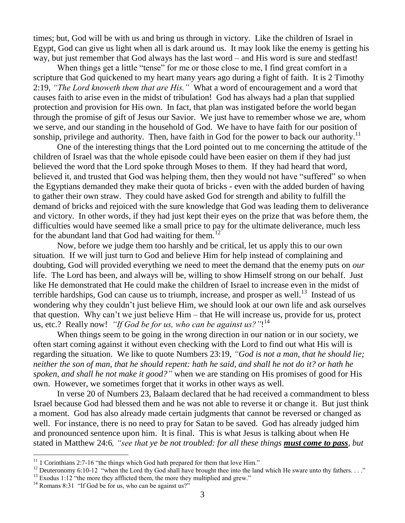times; but, God will be with us and bring us through in victory. Like the children of Israel in Egypt, God can give us light when all is dark around us. It may look like the enemy is getting his way, but just remember that God always has the last word – and His word is sure and stedfast!

When things get a little "tense" for me or those close to me, I find great comfort in a scripture that God quickened to my heart many years ago during a fight of faith. It is 2 Timothy 2:19, *"The Lord knoweth them that are His."* What a word of encouragement and a word that causes faith to arise even in the midst of tribulation! God has always had a plan that supplied protection and provision for His own. In fact, that plan was instigated before the world began through the promise of gift of Jesus our Savior. We just have to remember whose we are, whom we serve, and our standing in the household of God. We have to have faith for our position of sonship, privilege and authority. Then, have faith in God for the power to back our authority.<sup>11</sup>

One of the interesting things that the Lord pointed out to me concerning the attitude of the children of Israel was that the whole episode could have been easier on them if they had just believed the word that the Lord spoke through Moses to them. If they had heard that word, believed it, and trusted that God was helping them, then they would not have "suffered" so when the Egyptians demanded they make their quota of bricks - even with the added burden of having to gather their own straw. They could have asked God for strength and ability to fulfill the demand of bricks and rejoiced with the sure knowledge that God was leading them to deliverance and victory. In other words, if they had just kept their eyes on the prize that was before them, the difficulties would have seemed like a small price to pay for the ultimate deliverance, much less for the abundant land that God had waiting for them.<sup>12</sup>

Now, before we judge them too harshly and be critical, let us apply this to our own situation. If we will just turn to God and believe Him for help instead of complaining and doubting, God will provided everything we need to meet the demand that the enemy puts on *our* life. The Lord has been, and always will be, willing to show Himself strong on our behalf. Just like He demonstrated that He could make the children of Israel to increase even in the midst of terrible hardships, God can cause us to triumph, increase, and prosper as well.<sup>13</sup> Instead of us wondering why they couldn't just believe Him, we should look at our own life and ask ourselves that question. Why can't we just believe Him – that He will increase us, provide for us, protect us, etc.? Really now! *"If God be for us, who can be against us?"*! 14

When things seem to be going in the wrong direction in our nation or in our society, we often start coming against it without even checking with the Lord to find out what His will is regarding the situation. We like to quote Numbers 23:19, *"God is not a man, that he should lie; neither the son of man, that he should repent: hath he said, and shall he not do it? or hath he spoken, and shall he not make it good?"* when we are standing on His promises of good for His own. However, we sometimes forget that it works in other ways as well.

In verse 20 of Numbers 23, Balaam declared that he had received a commandment to bless Israel because God had blessed them and he was not able to reverse it or change it. But just think a moment. God has also already made certain judgments that cannot be reversed or changed as well. For instance, there is no need to pray for Satan to be saved. God has already judged him and pronounced sentence upon him. It is final. This is what Jesus is talking about when He stated in Matthew 24:6*, "see that ye be not troubled: for all these things must come to pass, but* 

 $\overline{a}$ 

 $11$  1 Corinthians 2:7-16 "the things which God hath prepared for them that love Him."

<sup>&</sup>lt;sup>12</sup> Deuteronomy 6:10-12 "when the Lord thy God shall have brought thee into the land which He sware unto thy fathers. . . ."  $13$  Exodus 1:12 "the more they afflicted them, the more they multiplied and grew."

 $14$  Romans 8:31 "If God be for us, who can be against us?"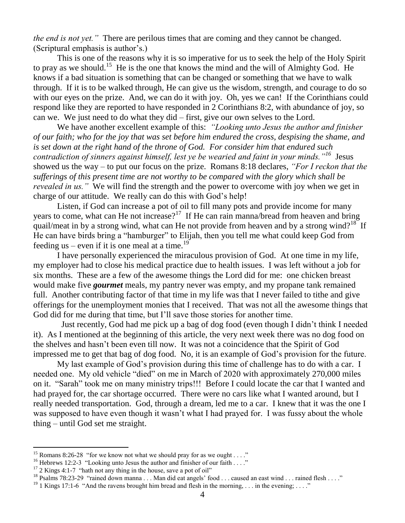*the end is not yet."* There are perilous times that are coming and they cannot be changed. (Scriptural emphasis is author's.)

This is one of the reasons why it is so imperative for us to seek the help of the Holy Spirit to pray as we should.<sup>15</sup> He is the one that knows the mind and the will of Almighty God. He knows if a bad situation is something that can be changed or something that we have to walk through. If it is to be walked through, He can give us the wisdom, strength, and courage to do so with our eyes on the prize. And, we can do it with joy. Oh, yes we can! If the Corinthians could respond like they are reported to have responded in 2 Corinthians 8:2, with abundance of joy, so can we. We just need to do what they did – first, give our own selves to the Lord.

We have another excellent example of this: *"Looking unto Jesus the author and finisher of our faith; who for the joy that was set before him endured the cross, despising the shame, and is set down at the right hand of the throne of God. For consider him that endured such contradiction of sinners against himself, lest ye be wearied and faint in your minds."<sup>16</sup>* Jesus showed us the way – to put our focus on the prize. Romans 8:18 declares, *"For I reckon that the sufferings of this present time are not worthy to be compared with the glory which shall be revealed in us."* We will find the strength and the power to overcome with joy when we get in charge of our attitude. We really can do this with God's help!

Listen, if God can increase a pot of oil to fill many pots and provide income for many years to come, what can He not increase?<sup>17</sup> If He can rain manna/bread from heaven and bring quail/meat in by a strong wind, what can He not provide from heaven and by a strong wind?<sup>18</sup> If He can have birds bring a "hamburger" to Elijah, then you tell me what could keep God from feeding us – even if it is one meal at a time.<sup>19</sup>

I have personally experienced the miraculous provision of God. At one time in my life, my employer had to close his medical practice due to health issues. I was left without a job for six months. These are a few of the awesome things the Lord did for me: one chicken breast would make five *gourmet* meals, my pantry never was empty, and my propane tank remained full. Another contributing factor of that time in my life was that I never failed to tithe and give offerings for the unemployment monies that I received. That was not all the awesome things that God did for me during that time, but I'll save those stories for another time.

 Just recently, God had me pick up a bag of dog food (even though I didn't think I needed it). As I mentioned at the beginning of this article, the very next week there was no dog food on the shelves and hasn't been even till now. It was not a coincidence that the Spirit of God impressed me to get that bag of dog food. No, it is an example of God's provision for the future.

My last example of God's provision during this time of challenge has to do with a car. I needed one. My old vehicle "died" on me in March of 2020 with approximately 270,000 miles on it. "Sarah" took me on many ministry trips!!! Before I could locate the car that I wanted and had prayed for, the car shortage occurred. There were no cars like what I wanted around, but I really needed transportation. God, through a dream, led me to a car. I knew that it was the one I was supposed to have even though it wasn't what I had prayed for. I was fussy about the whole thing – until God set me straight.

<sup>&</sup>lt;sup>15</sup> Romans 8:26-28 "for we know not what we should pray for as we ought . . . ."

<sup>&</sup>lt;sup>16</sup> Hebrews 12:2-3 "Looking unto Jesus the author and finisher of our faith . . . ."

 $17$  2 Kings 4:1-7 "hath not any thing in the house, save a pot of oil"

<sup>&</sup>lt;sup>18</sup> Psalms 78:23-29 "rained down manna . . . Man did eat angels' food . . . caused an east wind . . . rained flesh . . . ."

<sup>&</sup>lt;sup>19</sup> 1 Kings 17:1-6 "And the ravens brought him bread and flesh in the morning, . . . in the evening; . . . ."